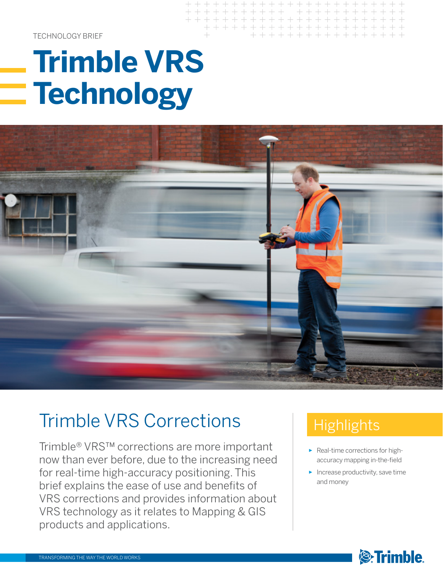TECHNOLOGY BRIEF

# **Trimble VRS Technology**



 $++$ 

+ + + + + + + + + + + + + + + + + + +

+ + + + + + + + + + + + + + + + + + + + + + + + + + +

## Trimble VRS Corrections

Trimble® VRS™ corrections are more important now than ever before, due to the increasing need for real-time high-accuracy positioning. This brief explains the ease of use and benefits of VRS corrections and provides information about VRS technology as it relates to Mapping & GIS products and applications.

## **Highlights**

- ► Real-time corrections for highaccuracy mapping in-the-field
- ► Increase productivity, save time and money

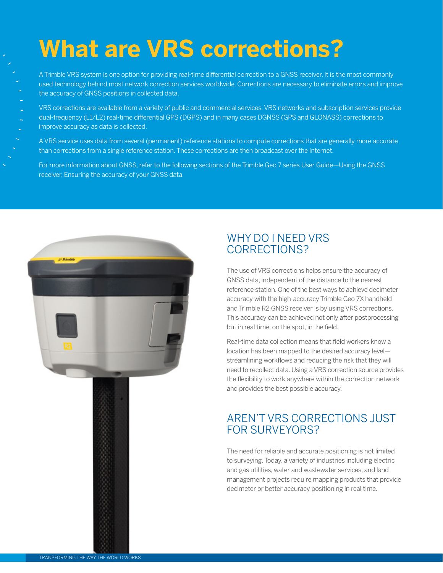## **What are VRS corrections?**

A Trimble VRS system is one option for providing real-time differential correction to a GNSS receiver. It is the most commonly used technology behind most network correction services worldwide. Corrections are necessary to eliminate errors and improve the accuracy of GNSS positions in collected data.

VRS corrections are available from a variety of public and commercial services. VRS networks and subscription services provide dual-frequency (L1/L2) real-time differential GPS (DGPS) and in many cases DGNSS (GPS and GLONASS) corrections to improve accuracy as data is collected.

A VRS service uses data from several (permanent) reference stations to compute corrections that are generally more accurate than corrections from a single reference station. These corrections are then broadcast over the Internet.

For more information about GNSS, refer to the following sections of the Trimble Geo 7 series User Guide—Using the GNSS receiver, Ensuring the accuracy of your GNSS data.



#### WHY DO I NEED VRS CORRECTIONS?

The use of VRS corrections helps ensure the accuracy of GNSS data, independent of the distance to the nearest reference station. One of the best ways to achieve decimeter accuracy with the high-accuracy Trimble Geo 7X handheld and Trimble R2 GNSS receiver is by using VRS corrections. This accuracy can be achieved not only after postprocessing but in real time, on the spot, in the field.

Real-time data collection means that field workers know a location has been mapped to the desired accuracy level streamlining workflows and reducing the risk that they will need to recollect data. Using a VRS correction source provides the flexibility to work anywhere within the correction network and provides the best possible accuracy.

#### AREN'T VRS CORRECTIONS JUST FOR SURVEYORS?

The need for reliable and accurate positioning is not limited to surveying. Today, a variety of industries including electric and gas utilities, water and wastewater services, and land management projects require mapping products that provide decimeter or better accuracy positioning in real time.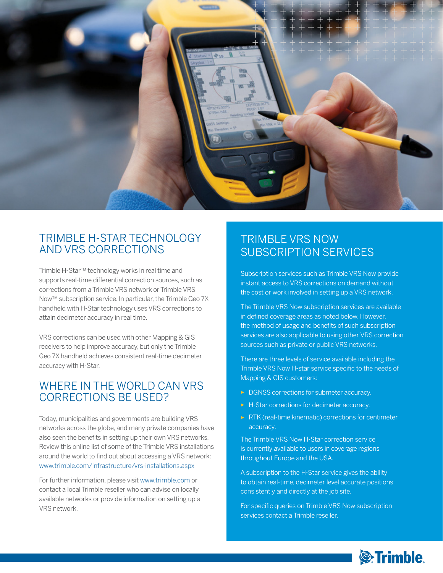

#### TRIMBLE H-STAR TECHNOLOGY AND VRS CORRECTIONS

Trimble H-Star™ technology works in real time and supports real-time differential correction sources, such as corrections from a Trimble VRS network or Trimble VRS Now™ subscription service. In particular, the Trimble Geo 7X handheld with H-Star technology uses VRS corrections to attain decimeter accuracy in real time.

VRS corrections can be used with other Mapping & GIS receivers to help improve accuracy, but only the Trimble Geo 7X handheld achieves consistent real-time decimeter accuracy with H-Star.

#### WHERE IN THE WORLD CAN VRS CORRECTIONS BE USED?

Today, municipalities and governments are building VRS networks across the globe, and many private companies have also seen the benefits in setting up their own VRS networks. Review this online list of some of the Trimble VRS installations around the world to find out about accessing a VRS network: www.trimble.com/infrastructure/vrs-installations.aspx

For further information, please visit www.trimble.com or contact a local Trimble reseller who can advise on locally available networks or provide information on setting up a VRS network.

#### TRIMBLE VRS NOW SUBSCRIPTION SERVICES

Subscription services such as Trimble VRS Now provide instant access to VRS corrections on demand without the cost or work involved in setting up a VRS network.

The Trimble VRS Now subscription services are available in defined coverage areas as noted below. However, the method of usage and benefits of such subscription services are also applicable to using other VRS correction sources such as private or public VRS networks.

There are three levels of service available including the Trimble VRS Now H-star service specific to the needs of Mapping & GIS customers:

- ► DGNSS corrections for submeter accuracy.
- ► H-Star corrections for decimeter accuracy.
- ► RTK (real-time kinematic) corrections for centimeter accuracy.

The Trimble VRS Now H-Star correction service is currently available to users in coverage regions throughout Europe and the USA.

A subscription to the H-Star service gives the ability to obtain real-time, decimeter level accurate positions consistently and directly at the job site.

For specific queries on Trimble VRS Now subscription services contact a Trimble reseller.